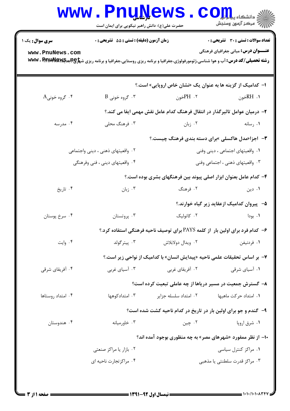|                        | حضرت علی(ع): دانش راهبر نیکویی برای ایمان است                      | www.PnuNews                                                                                                                                             | ي دانشگاه پيام <mark>ب</mark> ر<br>ج<br>ے<br>اس مرکز آزمون وسنجش |  |
|------------------------|--------------------------------------------------------------------|---------------------------------------------------------------------------------------------------------------------------------------------------------|------------------------------------------------------------------|--|
| <b>سری سوال :</b> یک ۱ | زمان آزمون (دقيقه) : تستى : 55 تشريحى : 0                          |                                                                                                                                                         | <b>تعداد سوالات : تستی : 30 - تشریحی : 0</b>                     |  |
| www.PnuNews.com        |                                                                    | <b>رشته تحصیلی/کد درس: آ</b> ب و هوا شناسی،ژئومورفولوژی،جغرافیا و برنامه ریزی روستایی،جغرافیا و برنامه ریزی ش <del>پراچ (بانچایلا) WWW . PTIXI</del> NG | <b>عنـــوان درس:</b> مبانی جغرافیای فرهنگی                       |  |
|                        |                                                                    | ا- کدامیک از گزینه ها به عنوان یک «نشان خاص اروپایی» است.؟                                                                                              |                                                                  |  |
| $A$ گروه خونی . ۴      | $B$ گروه خونی $\cdot$ ۳                                            | ۲. PHخون                                                                                                                                                | ۱. RHغون                                                         |  |
|                        |                                                                    | ۲– درمیان عوامل تاثیرگذار در انتقال فرهنگ کدام عامل نقش مهمی ایفا می کند.؟                                                                              |                                                                  |  |
| ۰۴ مدرسه               | ۰۳ فرهنگ محلی                                                      | ۰۲ زبان                                                                                                                                                 | ۰۱ رسانه                                                         |  |
|                        |                                                                    |                                                                                                                                                         | <b>۳</b> - اجزا«مدل هاکسلی »برای دسته بندی فرهنگ چیست.؟          |  |
|                        | ۰۲ واقعیتهای ذهنی ، دینی واجتماعی                                  |                                                                                                                                                         | ۰۱ واقعیتهای اجتماعی ، دینی وفنی                                 |  |
|                        | ۰۴ واقعیتهای دینی ، فنی وفرهنگی                                    |                                                                                                                                                         | ۰۳ واقعیتهای ذهنی ، اجتماعی وفنی                                 |  |
|                        |                                                                    | ۴– کدام عامل بعنوان ابزار اصلی پیوند بین فرهنگهای بشری بوده است.؟                                                                                       |                                                                  |  |
| ۰۴ تاریخ               | ۰۳ زبان                                                            | ۰۲ فرهنگ                                                                                                                                                | ۰۱ دین                                                           |  |
|                        |                                                                    |                                                                                                                                                         | ۵–۔ پیروان کدامیک ازعقاید زیر گیاه خوارند.؟                      |  |
| ۰۴ سرخ پوستان          | ۰۳ پروتستان                                                        | ۰۲ کاتولیک                                                                                                                                              | ۰۱ بودا                                                          |  |
|                        |                                                                    | ۶- کدام فرد برای اولین بار  از کلمه PAYS برای توصیف ناحیه فرهنگی استفاده کرد.؟                                                                          |                                                                  |  |
| ۰۴ وايت                | ۰۳ پیترگولد                                                        | ۰۲ ویدال دولابلاش                                                                                                                                       | ٠١ فردنيفن                                                       |  |
|                        |                                                                    | ۷− بر اساس تحقیقات علمی ناحیه «پیدایش انسان» با کدامیک از نواحی زیر است.؟                                                                               |                                                                  |  |
| ۰۴ آفریقای شرقی        | ۰۳ آسیای غربی                                                      | ۰۲ آفریقای غربی                                                                                                                                         | ۰۱ آسیای شرقی                                                    |  |
|                        |                                                                    | ۸– گسترش جمعیت در مسیر دریاها از چه عاملی تبعیت کرده است؟                                                                                               |                                                                  |  |
| ۰۴ امتداد روستاها      | ۰۳ امتدادکوهها                                                     | ۰۲ امتداد سلسله جزایر                                                                                                                                   | ۰۱ امتداد حرکت ماهیها                                            |  |
|                        |                                                                    | ۹- گندم و جو برای اولین بار در تاریخ در کدام ناحیه کشت شده است؟                                                                                         |                                                                  |  |
| ۰۴ هندوستان            | ۰۳ خاورمیانه                                                       | ۰۲ چين                                                                                                                                                  | ۰۱ شرق اروپا                                                     |  |
|                        | <b>۱۰- از نظر ممفورد «شهرهای مصر» به چه منظوری بوجود آمده اند؟</b> |                                                                                                                                                         |                                                                  |  |
|                        | ۰۲ بازار یا مراکز صنعتی                                            |                                                                                                                                                         | ۰۱ مراکز کنترل سیاسی                                             |  |
|                        | ۰۴ مراکزتجارت ناحیه ای                                             |                                                                                                                                                         | ۰۳ مراکز قدرت سلطنتی یا مذهبی                                    |  |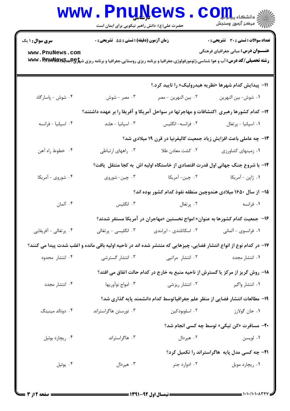|                                                                                                                    | www.PnuNews                                                                   |                        | الاد دانشگاه پيام <mark>ور</mark><br>الا مرکز آزمون وسنجش                                                                                                                            |  |  |  |
|--------------------------------------------------------------------------------------------------------------------|-------------------------------------------------------------------------------|------------------------|--------------------------------------------------------------------------------------------------------------------------------------------------------------------------------------|--|--|--|
|                                                                                                                    | حضرت علی(ع): دانش راهبر نیکویی برای ایمان است                                 |                        |                                                                                                                                                                                      |  |  |  |
| <b>سری سوال : ۱ یک</b>                                                                                             | زمان آزمون (دقیقه) : تستی : 55 آتشریحی : 0                                    |                        | <b>تعداد سوالات : تستی : 30 ٪ تشریحی : 0</b>                                                                                                                                         |  |  |  |
| www.PnuNews.com                                                                                                    |                                                                               |                        | <b>عنـــوان درس:</b> مبانی جغرافیای فرهنگی<br><b>رشته تحصیلی/کد درس: آب و هوا شناسی،ژئومورفولوژی،جغرافیا و برنامه ریزی روستایی،جغرافیا و برنامه ریزی ش<del>پلو@هیا»Ww</del>v . P</b> |  |  |  |
|                                                                                                                    |                                                                               |                        | اا– پیدایش کدام شهرها «نظریه هیدرولیک» را تایید کرد.؟                                                                                                                                |  |  |  |
| ۰۴ شوش - پاسارگاد                                                                                                  | ۰۳ مصر - شوش                                                                  | ٠٢ بين النهرين - مصر   | ٠١ شوش- بين النهرين                                                                                                                                                                  |  |  |  |
| ۱۲– کدام کشورها رهبری ٔاکتشافات و مهاجرتها در سواحل آمریکا و آفریقا را بر عهده داشتند؟                             |                                                                               |                        |                                                                                                                                                                                      |  |  |  |
| ۰۴ اسپانیا - فرانسه                                                                                                | ۰۳ اسپانیا - هلند                                                             | ۰۲ فرانسه- انگلیس      | ۰۱ اسپانیا - پرتغال                                                                                                                                                                  |  |  |  |
|                                                                                                                    | ۱۳- چه عاملی باعث افزایش زیاد جمعیت کالیفرنیا در قرن ۱۹ میلادی شد؟            |                        |                                                                                                                                                                                      |  |  |  |
| ۰۴ خطوط راه آهن                                                                                                    | ۰۳ راههای ارتباطی                                                             | ۰۲ کشت معادن طلا       | ٠١ زمينهاى كشاورزى                                                                                                                                                                   |  |  |  |
|                                                                                                                    | ۱۴- با شروع جنگ جهانی اول قدرت اقتصادی از خاستگاه اولیه اش به کجا منتقل یافت؟ |                        |                                                                                                                                                                                      |  |  |  |
| ۰۴ شوروی - آمریکا                                                                                                  | ۰۳ چین- شوروی                                                                 | ۰۲ چین- آمریکا         | ۰۱ ژاپن - آمریکا                                                                                                                                                                     |  |  |  |
|                                                                                                                    | ۱۵– از سال ۱۶۵۰ میلادی هندوچین منطقه نفوذ کدام کشور بوده اند؟                 |                        |                                                                                                                                                                                      |  |  |  |
| ۰۴ آلمان                                                                                                           | ۰۳ انگلیس                                                                     | ۰۲ پرتغال              | ۰۱ فرانسه                                                                                                                                                                            |  |  |  |
|                                                                                                                    |                                                                               |                        | ۱۶– جمعیت کدام کشورها به عنوان« امواج نخستین »مهاجران در آمریکا مستقر شدند؟                                                                                                          |  |  |  |
| ۰۴ پرتغالی - آفریقایی                                                                                              | ۰۳ انگلیسی - پرتغالی                                                          | ۰۲ اسکاتلندی - ایرلندی | ٠١ فرانسوي - آلماني                                                                                                                                                                  |  |  |  |
| ۱۷– در کدام نوع از انواع انتشار فضایی، چیزهایی که منتشر شده اند در ناحیه اولیه باقی مانده و اغلب شدت پیدا می کنند؟ |                                                                               |                        |                                                                                                                                                                                      |  |  |  |
| ۰۴ انتشار محدود                                                                                                    | ۰۳ انتشار گسترشی                                                              | ۰۲ انتشار مراتیی       | ۰۱ انتشار مجدد                                                                                                                                                                       |  |  |  |
| ۱۸- روش گریز از مرکز یا گسترش از ناحیه منبع به خارج در کدام حالت اتفاق می افتد؟                                    |                                                                               |                        |                                                                                                                                                                                      |  |  |  |
| ۰۴ انتشار مجدد                                                                                                     | ۰۳ امواج نوآوريها                                                             | ۰۲ انتشار ریزشی        | ۰۱ انتشار واگیر                                                                                                                                                                      |  |  |  |
|                                                                                                                    | ۱۹- مطالعات انتشار فضایی از منظر علم جغرافیاتوسط کدام دانشمند پایه گذاری شد؟  |                        |                                                                                                                                                                                      |  |  |  |
| ۰۴ دونالد مینینگ                                                                                                   | ۰۳ تورستن هاگراستراند                                                         | ۰۲ اسلوبودکين          | ۰۱ جان گولارز                                                                                                                                                                        |  |  |  |
|                                                                                                                    |                                                                               |                        | <b>۲۰</b> - مسافرت «کن تیکی» توسط چه کسی انجام شد؟                                                                                                                                   |  |  |  |
| ۰۴ ريچارد بوئيل                                                                                                    | ۰۳ هاگراستراند                                                                | ۰۲ هیردال              | ۰۱ لويسن                                                                                                                                                                             |  |  |  |
|                                                                                                                    | <b>۲۱</b> - چه کسی مدل پایه هاگراستراند را تکمیل کرد؟                         |                        |                                                                                                                                                                                      |  |  |  |
| ۰۴ يوئيل                                                                                                           | ۰۳ هیردال                                                                     | ۰۲ ادوارد جنر          | ۰۱ ریچارد مویل                                                                                                                                                                       |  |  |  |
|                                                                                                                    |                                                                               |                        |                                                                                                                                                                                      |  |  |  |